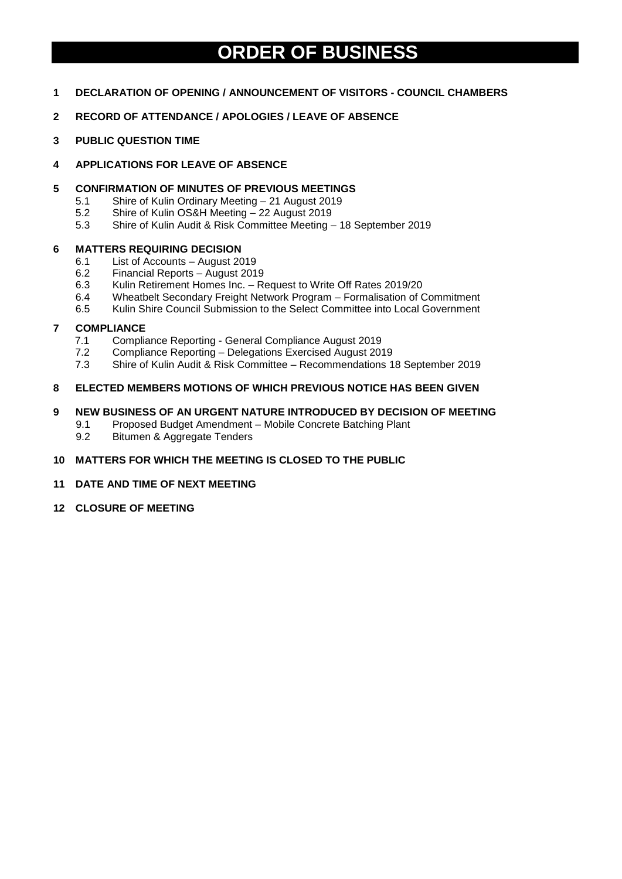# **ORDER OF BUSINESS**

- **1 DECLARATION OF OPENING / ANNOUNCEMENT OF VISITORS - COUNCIL CHAMBERS**
- **2 RECORD OF ATTENDANCE / APOLOGIES / LEAVE OF ABSENCE**
- **3 PUBLIC QUESTION TIME**

## **4 APPLICATIONS FOR LEAVE OF ABSENCE**

### **5 CONFIRMATION OF MINUTES OF PREVIOUS MEETINGS**

- 5.1 Shire of Kulin Ordinary Meeting 21 August 2019
- 5.2 Shire of Kulin OS&H Meeting 22 August 2019
- 5.3 Shire of Kulin Audit & Risk Committee Meeting 18 September 2019

### **6 MATTERS REQUIRING DECISION**

- 6.1 List of Accounts August 2019
- 6.2 Financial Reports August 2019
- 6.3 Kulin Retirement Homes Inc. Request to Write Off Rates 2019/20
- 6.4 Wheatbelt Secondary Freight Network Program Formalisation of Commitment
- 6.5 Kulin Shire Council Submission to the Select Committee into Local Government

## **7 COMPLIANCE**

- 7.1 Compliance Reporting General Compliance August 2019
- 7.2 Compliance Reporting Delegations Exercised August 2019
- 7.3 Shire of Kulin Audit & Risk Committee Recommendations 18 September 2019

# **8 ELECTED MEMBERS MOTIONS OF WHICH PREVIOUS NOTICE HAS BEEN GIVEN**

# **9 NEW BUSINESS OF AN URGENT NATURE INTRODUCED BY DECISION OF MEETING**

- 9.1 Proposed Budget Amendment Mobile Concrete Batching Plant
- 9.2 Bitumen & Aggregate Tenders

# **10 MATTERS FOR WHICH THE MEETING IS CLOSED TO THE PUBLIC**

## **11 DATE AND TIME OF NEXT MEETING**

**12 CLOSURE OF MEETING**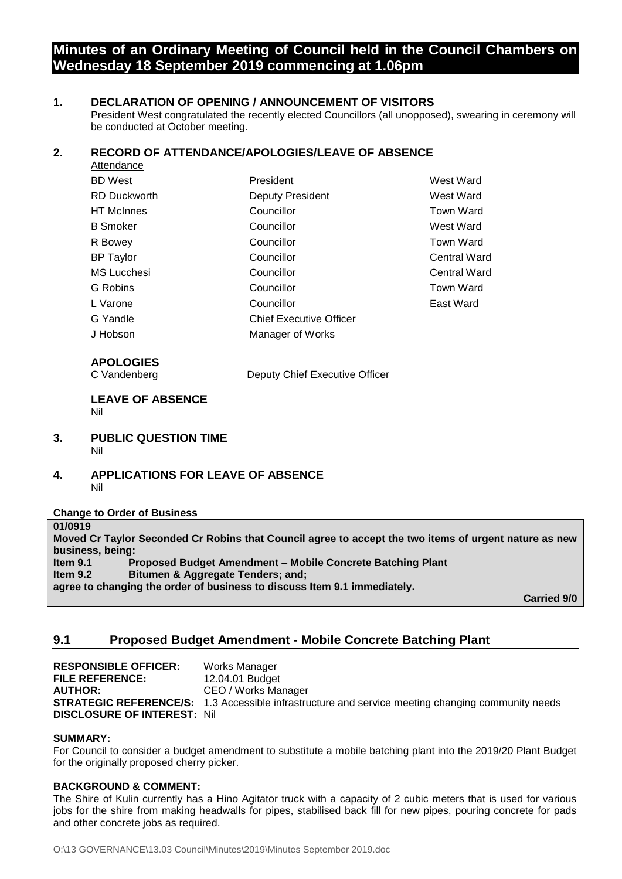# **Minutes of an Ordinary Meeting of Council held in the Council Chambers on Wednesday 18 September 2019 commencing at 1.06pm**

# **1. DECLARATION OF OPENING / ANNOUNCEMENT OF VISITORS**

President West congratulated the recently elected Councillors (all unopposed), swearing in ceremony will be conducted at October meeting.

# **2. RECORD OF ATTENDANCE/APOLOGIES/LEAVE OF ABSENCE**

| Attendance          |                                |                     |
|---------------------|--------------------------------|---------------------|
| <b>BD</b> West      | President                      | West Ward           |
| <b>RD Duckworth</b> | <b>Deputy President</b>        | West Ward           |
| <b>HT</b> McInnes   | Councillor                     | <b>Town Ward</b>    |
| <b>B</b> Smoker     | Councillor                     | West Ward           |
| R Bowey             | Councillor                     | Town Ward           |
| <b>BP</b> Taylor    | Councillor                     | <b>Central Ward</b> |
| <b>MS Lucchesi</b>  | Councillor                     | <b>Central Ward</b> |
| G Robins            | Councillor                     | <b>Town Ward</b>    |
| L Varone            | Councillor                     | East Ward           |
| G Yandle            | <b>Chief Executive Officer</b> |                     |
| J Hobson            | Manager of Works               |                     |
|                     |                                |                     |

# **APOLOGIES**

C Vandenberg Deputy Chief Executive Officer

# **LEAVE OF ABSENCE**  Nil

## **3. PUBLIC QUESTION TIME** Nil

# **4. APPLICATIONS FOR LEAVE OF ABSENCE** Nil

### **Change to Order of Business**

**01/0919 Moved Cr Taylor Seconded Cr Robins that Council agree to accept the two items of urgent nature as new business, being: Item 9.1 Proposed Budget Amendment – Mobile Concrete Batching Plant Item 9.2 Bitumen & Aggregate Tenders; and; agree to changing the order of business to discuss Item 9.1 immediately. Carried 9/0**

# **9.1 Proposed Budget Amendment - Mobile Concrete Batching Plant**

**RESPONSIBLE OFFICER:** Works Manager **FILE REFERENCE:** 12.04.01 Budget **AUTHOR:** CEO / Works Manager **STRATEGIC REFERENCE/S:** 1.3 Accessible infrastructure and service meeting changing community needs **DISCLOSURE OF INTEREST:** Nil

### **SUMMARY:**

For Council to consider a budget amendment to substitute a mobile batching plant into the 2019/20 Plant Budget for the originally proposed cherry picker.

# **BACKGROUND & COMMENT:**

The Shire of Kulin currently has a Hino Agitator truck with a capacity of 2 cubic meters that is used for various jobs for the shire from making headwalls for pipes, stabilised back fill for new pipes, pouring concrete for pads and other concrete jobs as required.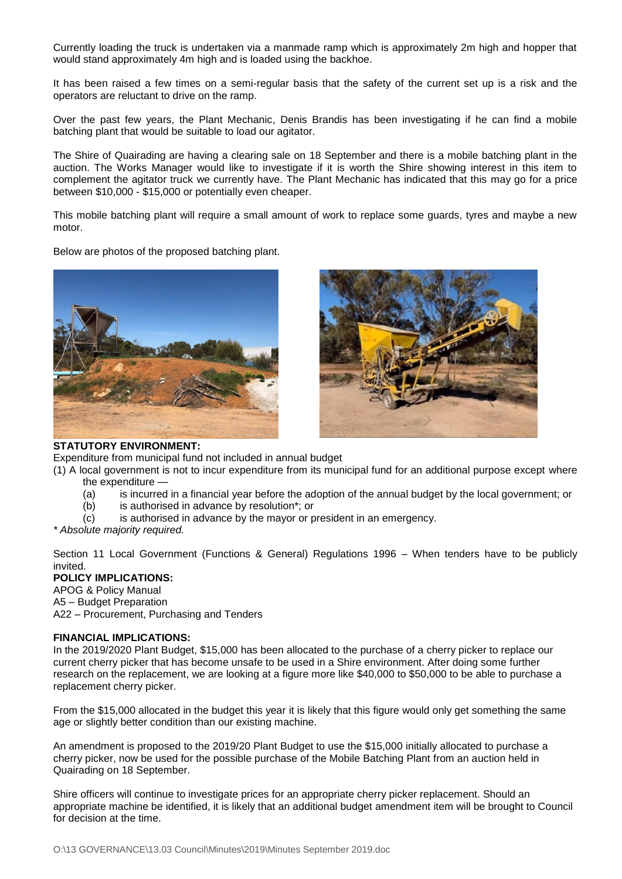Currently loading the truck is undertaken via a manmade ramp which is approximately 2m high and hopper that would stand approximately 4m high and is loaded using the backhoe.

It has been raised a few times on a semi-regular basis that the safety of the current set up is a risk and the operators are reluctant to drive on the ramp.

Over the past few years, the Plant Mechanic, Denis Brandis has been investigating if he can find a mobile batching plant that would be suitable to load our agitator.

The Shire of Quairading are having a clearing sale on 18 September and there is a mobile batching plant in the auction. The Works Manager would like to investigate if it is worth the Shire showing interest in this item to complement the agitator truck we currently have. The Plant Mechanic has indicated that this may go for a price between \$10,000 - \$15,000 or potentially even cheaper.

This mobile batching plant will require a small amount of work to replace some guards, tyres and maybe a new motor.

Below are photos of the proposed batching plant.





# **STATUTORY ENVIRONMENT:**

Expenditure from municipal fund not included in annual budget

(1) A local government is not to incur expenditure from its municipal fund for an additional purpose except where the expenditure —

- (a) is incurred in a financial year before the adoption of the annual budget by the local government; or
- (b) is authorised in advance by resolution\*; or
- (c) is authorised in advance by the mayor or president in an emergency.

*\* Absolute majority required.*

Section 11 Local Government (Functions & General) Regulations 1996 – When tenders have to be publicly invited.

# **POLICY IMPLICATIONS:**

APOG & Policy Manual A5 – Budget Preparation A22 – Procurement, Purchasing and Tenders

# **FINANCIAL IMPLICATIONS:**

In the 2019/2020 Plant Budget, \$15,000 has been allocated to the purchase of a cherry picker to replace our current cherry picker that has become unsafe to be used in a Shire environment. After doing some further research on the replacement, we are looking at a figure more like \$40,000 to \$50,000 to be able to purchase a replacement cherry picker.

From the \$15,000 allocated in the budget this year it is likely that this figure would only get something the same age or slightly better condition than our existing machine.

An amendment is proposed to the 2019/20 Plant Budget to use the \$15,000 initially allocated to purchase a cherry picker, now be used for the possible purchase of the Mobile Batching Plant from an auction held in Quairading on 18 September.

Shire officers will continue to investigate prices for an appropriate cherry picker replacement. Should an appropriate machine be identified, it is likely that an additional budget amendment item will be brought to Council for decision at the time.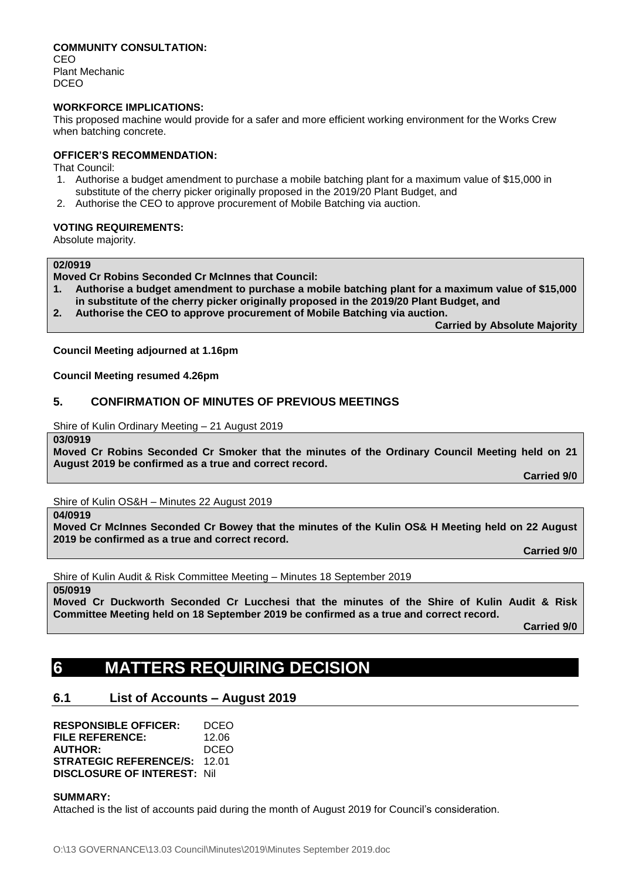# **COMMUNITY CONSULTATION:**

CEO Plant Mechanic DCEO

### **WORKFORCE IMPLICATIONS:**

This proposed machine would provide for a safer and more efficient working environment for the Works Crew when batching concrete.

### **OFFICER'S RECOMMENDATION:**

That Council:

- 1. Authorise a budget amendment to purchase a mobile batching plant for a maximum value of \$15,000 in substitute of the cherry picker originally proposed in the 2019/20 Plant Budget, and
- 2. Authorise the CEO to approve procurement of Mobile Batching via auction.

### **VOTING REQUIREMENTS:**

Absolute majority.

#### **02/0919**

**Moved Cr Robins Seconded Cr McInnes that Council:**

- **1. Authorise a budget amendment to purchase a mobile batching plant for a maximum value of \$15,000 in substitute of the cherry picker originally proposed in the 2019/20 Plant Budget, and**
- **2. Authorise the CEO to approve procurement of Mobile Batching via auction.**

**Carried by Absolute Majority**

#### **Council Meeting adjourned at 1.16pm**

#### **Council Meeting resumed 4.26pm**

# **5. CONFIRMATION OF MINUTES OF PREVIOUS MEETINGS**

Shire of Kulin Ordinary Meeting – 21 August 2019

#### **03/0919**

**Moved Cr Robins Seconded Cr Smoker that the minutes of the Ordinary Council Meeting held on 21 August 2019 be confirmed as a true and correct record.**

**Carried 9/0**

Shire of Kulin OS&H – Minutes 22 August 2019

### **04/0919**

**Moved Cr McInnes Seconded Cr Bowey that the minutes of the Kulin OS& H Meeting held on 22 August 2019 be confirmed as a true and correct record.**

**Carried 9/0**

Shire of Kulin Audit & Risk Committee Meeting – Minutes 18 September 2019

### **05/0919**

**Moved Cr Duckworth Seconded Cr Lucchesi that the minutes of the Shire of Kulin Audit & Risk Committee Meeting held on 18 September 2019 be confirmed as a true and correct record.**

**Carried 9/0**

# **6 MATTERS REQUIRING DECISION**

# **6.1 List of Accounts – August 2019**

**RESPONSIBLE OFFICER:** DCEO **FILE REFERENCE:** 12.06 **AUTHOR:** DCEO **STRATEGIC REFERENCE/S:** 12.01 **DISCLOSURE OF INTEREST:** Nil

#### **SUMMARY:**

Attached is the list of accounts paid during the month of August 2019 for Council's consideration.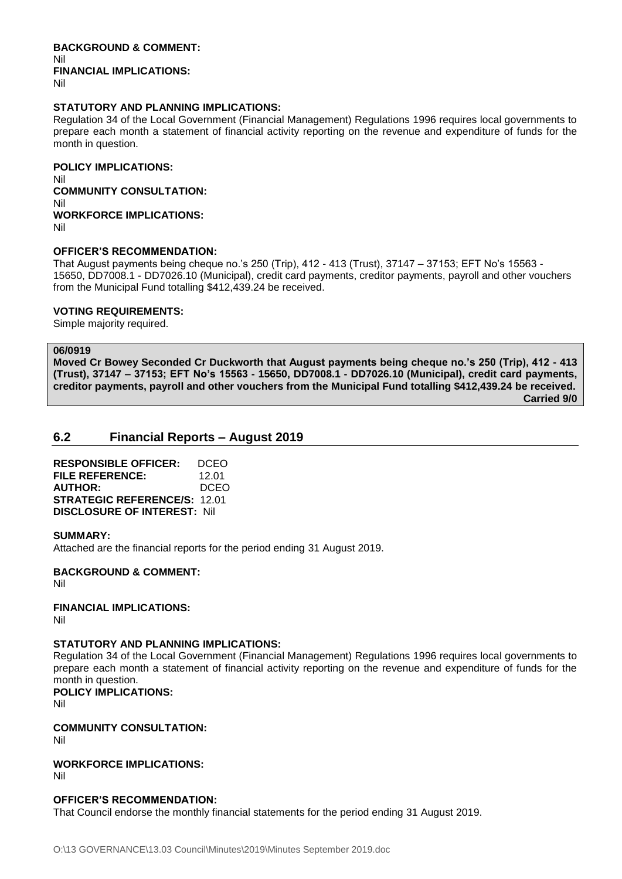**BACKGROUND & COMMENT:** Nil **FINANCIAL IMPLICATIONS:** Nil

### **STATUTORY AND PLANNING IMPLICATIONS:**

Regulation 34 of the Local Government (Financial Management) Regulations 1996 requires local governments to prepare each month a statement of financial activity reporting on the revenue and expenditure of funds for the month in question.

**POLICY IMPLICATIONS:** Nil **COMMUNITY CONSULTATION:** Nil **WORKFORCE IMPLICATIONS:** Nil

### **OFFICER'S RECOMMENDATION:**

That August payments being cheque no.'s 250 (Trip), 412 - 413 (Trust), 37147 – 37153; EFT No's 15563 - 15650, DD7008.1 - DD7026.10 (Municipal), credit card payments, creditor payments, payroll and other vouchers from the Municipal Fund totalling \$412,439.24 be received.

## **VOTING REQUIREMENTS:**

Simple majority required.

### **06/0919**

**Moved Cr Bowey Seconded Cr Duckworth that August payments being cheque no.'s 250 (Trip), 412 - 413 (Trust), 37147 – 37153; EFT No's 15563 - 15650, DD7008.1 - DD7026.10 (Municipal), credit card payments, creditor payments, payroll and other vouchers from the Municipal Fund totalling \$412,439.24 be received. Carried 9/0**

# **6.2 Financial Reports – August 2019**

**RESPONSIBLE OFFICER:** DCEO **FILE REFERENCE:** 12.01 **AUTHOR:** DCEO **STRATEGIC REFERENCE/S:** 12.01 **DISCLOSURE OF INTEREST:** Nil

### **SUMMARY:**

Attached are the financial reports for the period ending 31 August 2019.

**BACKGROUND & COMMENT:**

Nil

**FINANCIAL IMPLICATIONS:**

Nil

### **STATUTORY AND PLANNING IMPLICATIONS:**

Regulation 34 of the Local Government (Financial Management) Regulations 1996 requires local governments to prepare each month a statement of financial activity reporting on the revenue and expenditure of funds for the month in question.

**POLICY IMPLICATIONS:**

Nil

**COMMUNITY CONSULTATION:** Nil

**WORKFORCE IMPLICATIONS:** Nil

### **OFFICER'S RECOMMENDATION:**

That Council endorse the monthly financial statements for the period ending 31 August 2019.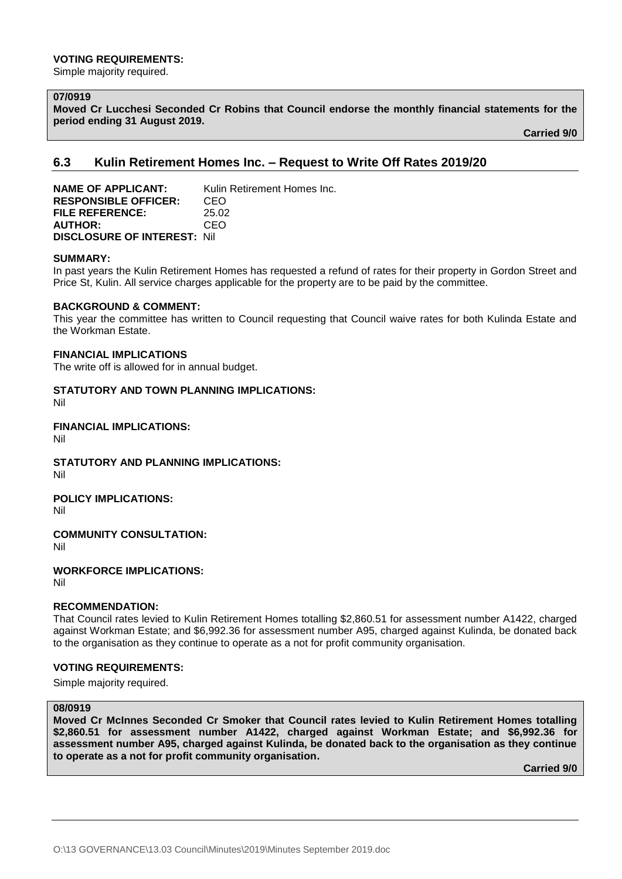### **VOTING REQUIREMENTS:**

Simple majority required.

# **07/0919**

**Moved Cr Lucchesi Seconded Cr Robins that Council endorse the monthly financial statements for the period ending 31 August 2019.**

**Carried 9/0**

# **6.3 Kulin Retirement Homes Inc. – Request to Write Off Rates 2019/20**

**NAME OF APPLICANT:** Kulin Retirement Homes Inc. **RESPONSIBLE OFFICER:** CEO **FILE REFERENCE:** 25.02 **AUTHOR:** CEO **DISCLOSURE OF INTEREST:** Nil

### **SUMMARY:**

In past years the Kulin Retirement Homes has requested a refund of rates for their property in Gordon Street and Price St, Kulin. All service charges applicable for the property are to be paid by the committee.

### **BACKGROUND & COMMENT:**

This year the committee has written to Council requesting that Council waive rates for both Kulinda Estate and the Workman Estate.

#### **FINANCIAL IMPLICATIONS**

The write off is allowed for in annual budget.

**STATUTORY AND TOWN PLANNING IMPLICATIONS:** Nil

**FINANCIAL IMPLICATIONS:**

Nil

**STATUTORY AND PLANNING IMPLICATIONS:**  Nil

**POLICY IMPLICATIONS:** Nil

**COMMUNITY CONSULTATION:** Nil

**WORKFORCE IMPLICATIONS:**

Nil

### **RECOMMENDATION:**

That Council rates levied to Kulin Retirement Homes totalling \$2,860.51 for assessment number A1422, charged against Workman Estate; and \$6,992.36 for assessment number A95, charged against Kulinda, be donated back to the organisation as they continue to operate as a not for profit community organisation.

# **VOTING REQUIREMENTS:**

Simple majority required.

# **08/0919**

**Moved Cr McInnes Seconded Cr Smoker that Council rates levied to Kulin Retirement Homes totalling \$2,860.51 for assessment number A1422, charged against Workman Estate; and \$6,992.36 for assessment number A95, charged against Kulinda, be donated back to the organisation as they continue to operate as a not for profit community organisation.**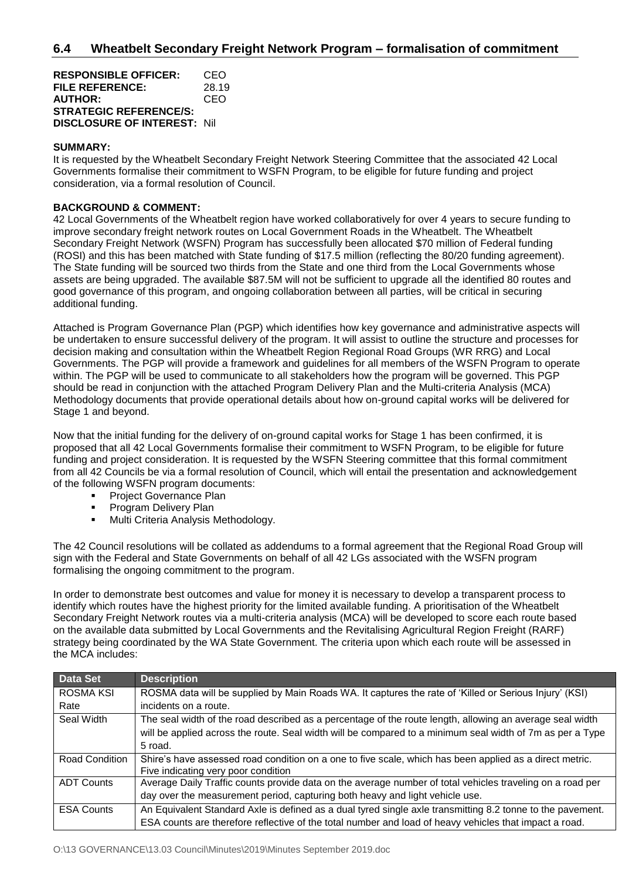**RESPONSIBLE OFFICER:** CEO **FILE REFERENCE:** 28.19 **AUTHOR:** CEO **STRATEGIC REFERENCE/S: DISCLOSURE OF INTEREST:** Nil

### **SUMMARY:**

It is requested by the Wheatbelt Secondary Freight Network Steering Committee that the associated 42 Local Governments formalise their commitment to WSFN Program, to be eligible for future funding and project consideration, via a formal resolution of Council.

## **BACKGROUND & COMMENT:**

42 Local Governments of the Wheatbelt region have worked collaboratively for over 4 years to secure funding to improve secondary freight network routes on Local Government Roads in the Wheatbelt. The Wheatbelt Secondary Freight Network (WSFN) Program has successfully been allocated \$70 million of Federal funding (ROSI) and this has been matched with State funding of \$17.5 million (reflecting the 80/20 funding agreement). The State funding will be sourced two thirds from the State and one third from the Local Governments whose assets are being upgraded. The available \$87.5M will not be sufficient to upgrade all the identified 80 routes and good governance of this program, and ongoing collaboration between all parties, will be critical in securing additional funding.

Attached is Program Governance Plan (PGP) which identifies how key governance and administrative aspects will be undertaken to ensure successful delivery of the program. It will assist to outline the structure and processes for decision making and consultation within the Wheatbelt Region Regional Road Groups (WR RRG) and Local Governments. The PGP will provide a framework and guidelines for all members of the WSFN Program to operate within. The PGP will be used to communicate to all stakeholders how the program will be governed. This PGP should be read in conjunction with the attached Program Delivery Plan and the Multi-criteria Analysis (MCA) Methodology documents that provide operational details about how on-ground capital works will be delivered for Stage 1 and beyond.

Now that the initial funding for the delivery of on-ground capital works for Stage 1 has been confirmed, it is proposed that all 42 Local Governments formalise their commitment to WSFN Program, to be eligible for future funding and project consideration. It is requested by the WSFN Steering committee that this formal commitment from all 42 Councils be via a formal resolution of Council, which will entail the presentation and acknowledgement of the following WSFN program documents:

- Project Governance Plan
- **Program Delivery Plan**
- **Multi Criteria Analysis Methodology.**

The 42 Council resolutions will be collated as addendums to a formal agreement that the Regional Road Group will sign with the Federal and State Governments on behalf of all 42 LGs associated with the WSFN program formalising the ongoing commitment to the program.

In order to demonstrate best outcomes and value for money it is necessary to develop a transparent process to identify which routes have the highest priority for the limited available funding. A prioritisation of the Wheatbelt Secondary Freight Network routes via a multi-criteria analysis (MCA) will be developed to score each route based on the available data submitted by Local Governments and the Revitalising Agricultural Region Freight (RARF) strategy being coordinated by the WA State Government. The criteria upon which each route will be assessed in the MCA includes:

| Data Set              | <b>Description</b>                                                                                         |
|-----------------------|------------------------------------------------------------------------------------------------------------|
| <b>ROSMA KSI</b>      | ROSMA data will be supplied by Main Roads WA. It captures the rate of 'Killed or Serious Injury' (KSI)     |
| Rate                  | incidents on a route.                                                                                      |
| Seal Width            | The seal width of the road described as a percentage of the route length, allowing an average seal width   |
|                       | will be applied across the route. Seal width will be compared to a minimum seal width of 7m as per a Type  |
|                       | 5 road.                                                                                                    |
| <b>Road Condition</b> | Shire's have assessed road condition on a one to five scale, which has been applied as a direct metric.    |
|                       | Five indicating very poor condition                                                                        |
| <b>ADT Counts</b>     | Average Daily Traffic counts provide data on the average number of total vehicles traveling on a road per  |
|                       | day over the measurement period, capturing both heavy and light vehicle use.                               |
| <b>ESA Counts</b>     | An Equivalent Standard Axle is defined as a dual tyred single axle transmitting 8.2 tonne to the pavement. |
|                       | ESA counts are therefore reflective of the total number and load of heavy vehicles that impact a road.     |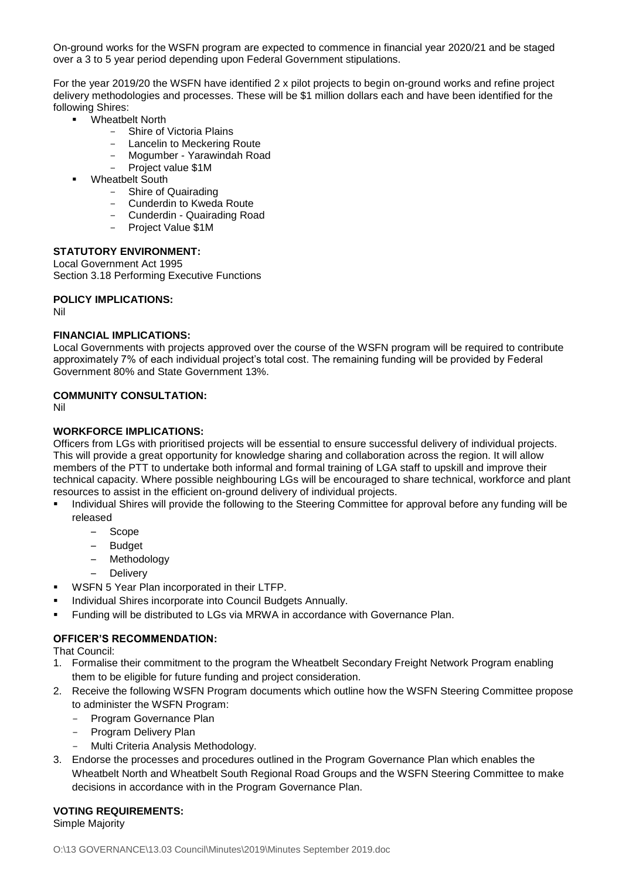On-ground works for the WSFN program are expected to commence in financial year 2020/21 and be staged over a 3 to 5 year period depending upon Federal Government stipulations.

For the year 2019/20 the WSFN have identified 2 x pilot projects to begin on-ground works and refine project delivery methodologies and processes. These will be \$1 million dollars each and have been identified for the following Shires:

- Wheatbelt North
	- Shire of Victoria Plains
	- Lancelin to Meckering Route
	- Mogumber Yarawindah Road
	- Project value \$1M
	- Wheatbelt South
		- Shire of Quairading
		- Cunderdin to Kweda Route
		- Cunderdin Quairading Road
		- Project Value \$1M

### **STATUTORY ENVIRONMENT:**

Local Government Act 1995 Section 3.18 Performing Executive Functions

## **POLICY IMPLICATIONS:**

Nil

### **FINANCIAL IMPLICATIONS:**

Local Governments with projects approved over the course of the WSFN program will be required to contribute approximately 7% of each individual project's total cost. The remaining funding will be provided by Federal Government 80% and State Government 13%.

## **COMMUNITY CONSULTATION:**

Nil

# **WORKFORCE IMPLICATIONS:**

Officers from LGs with prioritised projects will be essential to ensure successful delivery of individual projects. This will provide a great opportunity for knowledge sharing and collaboration across the region. It will allow members of the PTT to undertake both informal and formal training of LGA staff to upskill and improve their technical capacity. Where possible neighbouring LGs will be encouraged to share technical, workforce and plant resources to assist in the efficient on-ground delivery of individual projects.

- Individual Shires will provide the following to the Steering Committee for approval before any funding will be released
	- Scope
	- Budget
	- Methodology
	- Delivery
- WSFN 5 Year Plan incorporated in their LTFP.
- Individual Shires incorporate into Council Budgets Annually.
- Funding will be distributed to LGs via MRWA in accordance with Governance Plan.

# **OFFICER'S RECOMMENDATION:**

That Council:

- 1. Formalise their commitment to the program the Wheatbelt Secondary Freight Network Program enabling them to be eligible for future funding and project consideration.
- 2. Receive the following WSFN Program documents which outline how the WSFN Steering Committee propose to administer the WSFN Program:
	- Program Governance Plan
	- Program Delivery Plan
	- Multi Criteria Analysis Methodology.
- 3. Endorse the processes and procedures outlined in the Program Governance Plan which enables the Wheatbelt North and Wheatbelt South Regional Road Groups and the WSFN Steering Committee to make decisions in accordance with in the Program Governance Plan.

# **VOTING REQUIREMENTS:**

### Simple Majority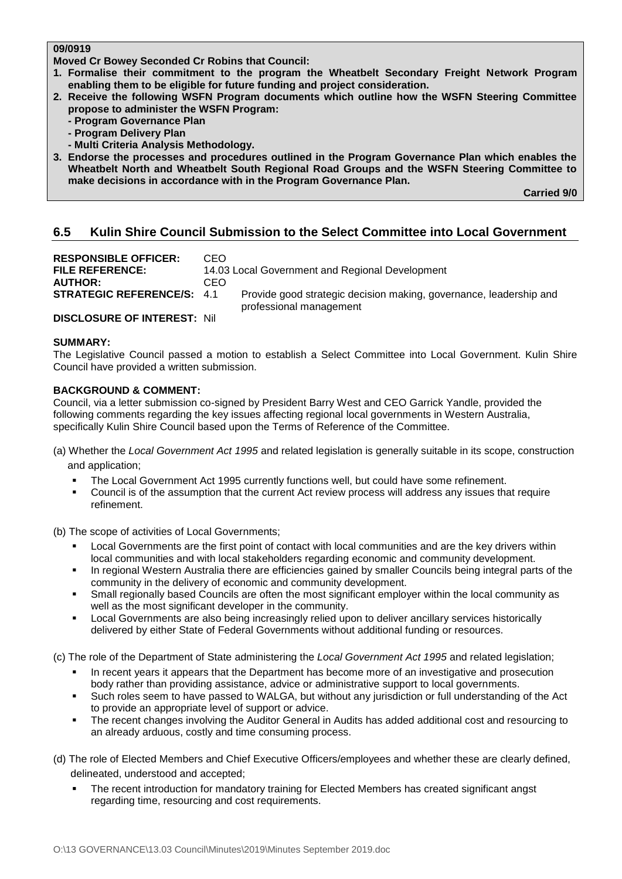## **09/0919**

**Moved Cr Bowey Seconded Cr Robins that Council:**

- **1. Formalise their commitment to the program the Wheatbelt Secondary Freight Network Program enabling them to be eligible for future funding and project consideration.**
- **2. Receive the following WSFN Program documents which outline how the WSFN Steering Committee propose to administer the WSFN Program:**
	- **- Program Governance Plan**
	- **- Program Delivery Plan**
	- **- Multi Criteria Analysis Methodology.**
- **3. Endorse the processes and procedures outlined in the Program Governance Plan which enables the Wheatbelt North and Wheatbelt South Regional Road Groups and the WSFN Steering Committee to make decisions in accordance with in the Program Governance Plan.**

**Carried 9/0**

# **6.5 Kulin Shire Council Submission to the Select Committee into Local Government**

| <b>RESPONSIBLE OFFICER:</b><br><b>FILE REFERENCE:</b><br><b>AUTHOR:</b> | CEO<br>CEO | 14.03 Local Government and Regional Development                                               |
|-------------------------------------------------------------------------|------------|-----------------------------------------------------------------------------------------------|
| <b>STRATEGIC REFERENCE/S: 4.1</b>                                       |            | Provide good strategic decision making, governance, leadership and<br>professional management |

# **DISCLOSURE OF INTEREST:** Nil

## **SUMMARY:**

The Legislative Council passed a motion to establish a Select Committee into Local Government. Kulin Shire Council have provided a written submission.

# **BACKGROUND & COMMENT:**

Council, via a letter submission co-signed by President Barry West and CEO Garrick Yandle, provided the following comments regarding the key issues affecting regional local governments in Western Australia, specifically Kulin Shire Council based upon the Terms of Reference of the Committee.

(a) Whether the *Local Government Act 1995* and related legislation is generally suitable in its scope, construction

and application;

- The Local Government Act 1995 currently functions well, but could have some refinement.
- Council is of the assumption that the current Act review process will address any issues that require refinement.
- (b) The scope of activities of Local Governments;
	- Local Governments are the first point of contact with local communities and are the key drivers within local communities and with local stakeholders regarding economic and community development.
	- In regional Western Australia there are efficiencies gained by smaller Councils being integral parts of the community in the delivery of economic and community development.
	- Small regionally based Councils are often the most significant employer within the local community as well as the most significant developer in the community.
	- Local Governments are also being increasingly relied upon to deliver ancillary services historically delivered by either State of Federal Governments without additional funding or resources.
- (c) The role of the Department of State administering the *Local Government Act 1995* and related legislation;
	- In recent years it appears that the Department has become more of an investigative and prosecution body rather than providing assistance, advice or administrative support to local governments.
	- Such roles seem to have passed to WALGA, but without any jurisdiction or full understanding of the Act to provide an appropriate level of support or advice.
	- The recent changes involving the Auditor General in Audits has added additional cost and resourcing to an already arduous, costly and time consuming process.
- (d) The role of Elected Members and Chief Executive Officers/employees and whether these are clearly defined, delineated, understood and accepted;
	- The recent introduction for mandatory training for Elected Members has created significant angst regarding time, resourcing and cost requirements.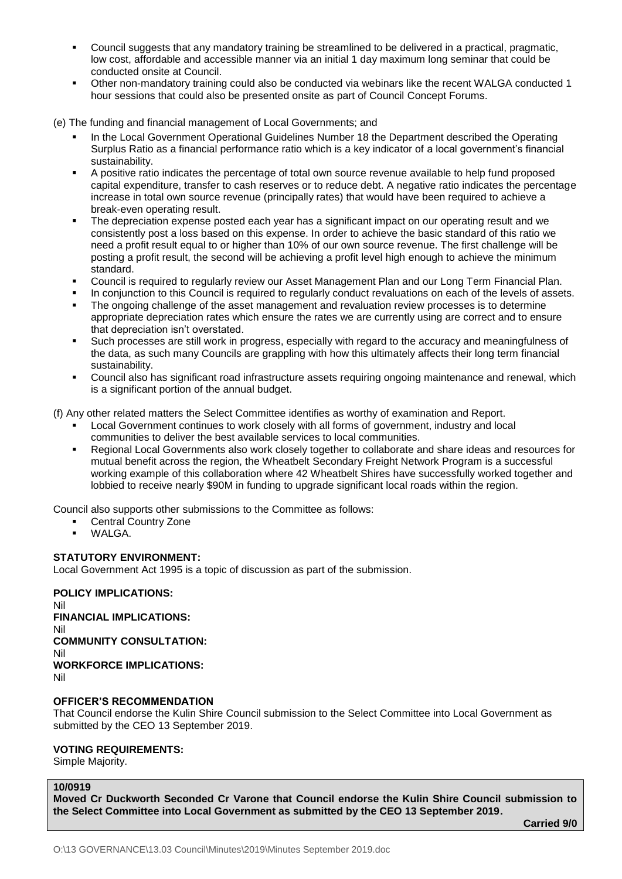- Council suggests that any mandatory training be streamlined to be delivered in a practical, pragmatic, low cost, affordable and accessible manner via an initial 1 day maximum long seminar that could be conducted onsite at Council.
- Other non-mandatory training could also be conducted via webinars like the recent WALGA conducted 1 hour sessions that could also be presented onsite as part of Council Concept Forums.

(e) The funding and financial management of Local Governments; and

- In the Local Government Operational Guidelines Number 18 the Department described the Operating Surplus Ratio as a financial performance ratio which is a key indicator of a local government's financial sustainability.
- A positive ratio indicates the percentage of total own source revenue available to help fund proposed capital expenditure, transfer to cash reserves or to reduce debt. A negative ratio indicates the percentage increase in total own source revenue (principally rates) that would have been required to achieve a break-even operating result.
- The depreciation expense posted each year has a significant impact on our operating result and we consistently post a loss based on this expense. In order to achieve the basic standard of this ratio we need a profit result equal to or higher than 10% of our own source revenue. The first challenge will be posting a profit result, the second will be achieving a profit level high enough to achieve the minimum standard.
- Council is required to regularly review our Asset Management Plan and our Long Term Financial Plan.
- In conjunction to this Council is required to regularly conduct revaluations on each of the levels of assets.
- The ongoing challenge of the asset management and revaluation review processes is to determine appropriate depreciation rates which ensure the rates we are currently using are correct and to ensure that depreciation isn't overstated.
- Such processes are still work in progress, especially with regard to the accuracy and meaningfulness of the data, as such many Councils are grappling with how this ultimately affects their long term financial sustainability.
- Council also has significant road infrastructure assets requiring ongoing maintenance and renewal, which is a significant portion of the annual budget.

(f) Any other related matters the Select Committee identifies as worthy of examination and Report.

- Local Government continues to work closely with all forms of government, industry and local communities to deliver the best available services to local communities.
- Regional Local Governments also work closely together to collaborate and share ideas and resources for mutual benefit across the region, the Wheatbelt Secondary Freight Network Program is a successful working example of this collaboration where 42 Wheatbelt Shires have successfully worked together and lobbied to receive nearly \$90M in funding to upgrade significant local roads within the region.

Council also supports other submissions to the Committee as follows:

- **Central Country Zone**
- WALGA.

# **STATUTORY ENVIRONMENT:**

Local Government Act 1995 is a topic of discussion as part of the submission.

**POLICY IMPLICATIONS:** Nil **FINANCIAL IMPLICATIONS:** Nil **COMMUNITY CONSULTATION:** Nil **WORKFORCE IMPLICATIONS:** Nil

# **OFFICER'S RECOMMENDATION**

That Council endorse the Kulin Shire Council submission to the Select Committee into Local Government as submitted by the CEO 13 September 2019.

# **VOTING REQUIREMENTS:**

Simple Majority.

## **10/0919**

**Moved Cr Duckworth Seconded Cr Varone that Council endorse the Kulin Shire Council submission to the Select Committee into Local Government as submitted by the CEO 13 September 2019.**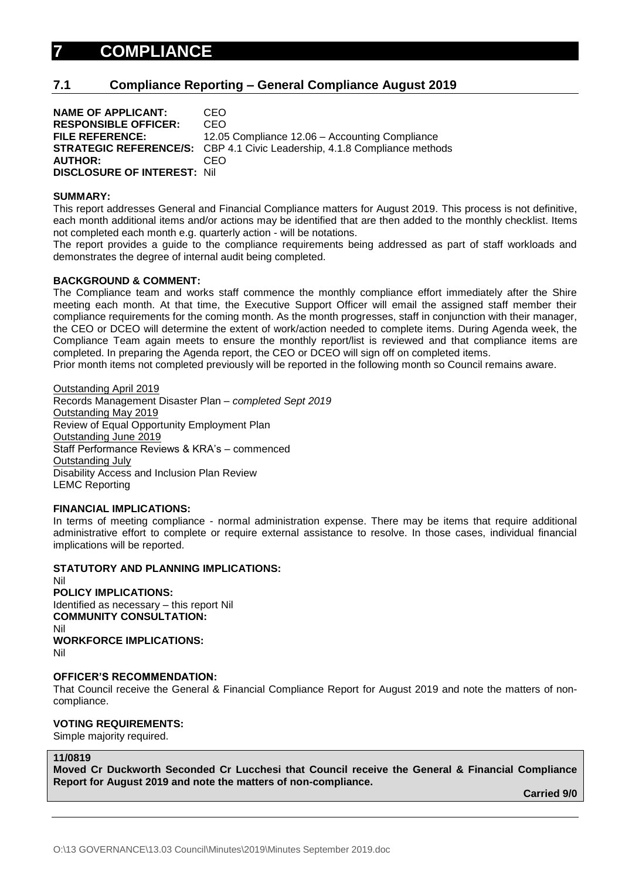# **7.1 Compliance Reporting – General Compliance August 2019**

| <b>NAME OF APPLICANT:</b>           | CEO                                                                              |
|-------------------------------------|----------------------------------------------------------------------------------|
| <b>RESPONSIBLE OFFICER:</b>         | CEO                                                                              |
| <b>FILE REFERENCE:</b>              | 12.05 Compliance 12.06 - Accounting Compliance                                   |
|                                     | <b>STRATEGIC REFERENCE/S:</b> CBP 4.1 Civic Leadership, 4.1.8 Compliance methods |
| <b>AUTHOR:</b>                      | CEO.                                                                             |
| <b>DISCLOSURE OF INTEREST: Nill</b> |                                                                                  |

### **SUMMARY:**

This report addresses General and Financial Compliance matters for August 2019. This process is not definitive, each month additional items and/or actions may be identified that are then added to the monthly checklist. Items not completed each month e.g. quarterly action - will be notations.

The report provides a guide to the compliance requirements being addressed as part of staff workloads and demonstrates the degree of internal audit being completed.

### **BACKGROUND & COMMENT:**

The Compliance team and works staff commence the monthly compliance effort immediately after the Shire meeting each month. At that time, the Executive Support Officer will email the assigned staff member their compliance requirements for the coming month. As the month progresses, staff in conjunction with their manager, the CEO or DCEO will determine the extent of work/action needed to complete items. During Agenda week, the Compliance Team again meets to ensure the monthly report/list is reviewed and that compliance items are completed. In preparing the Agenda report, the CEO or DCEO will sign off on completed items.

Prior month items not completed previously will be reported in the following month so Council remains aware.

Outstanding April 2019 Records Management Disaster Plan – *completed Sept 2019* Outstanding May 2019 Review of Equal Opportunity Employment Plan Outstanding June 2019 Staff Performance Reviews & KRA's – commenced Outstanding July Disability Access and Inclusion Plan Review LEMC Reporting

### **FINANCIAL IMPLICATIONS:**

In terms of meeting compliance - normal administration expense. There may be items that require additional administrative effort to complete or require external assistance to resolve. In those cases, individual financial implications will be reported.

# **STATUTORY AND PLANNING IMPLICATIONS:**

Nil **POLICY IMPLICATIONS:** Identified as necessary – this report Nil **COMMUNITY CONSULTATION:** Nil **WORKFORCE IMPLICATIONS:** Nil

### **OFFICER'S RECOMMENDATION:**

That Council receive the General & Financial Compliance Report for August 2019 and note the matters of noncompliance.

# **VOTING REQUIREMENTS:**

Simple majority required.

# **11/0819**

**Moved Cr Duckworth Seconded Cr Lucchesi that Council receive the General & Financial Compliance Report for August 2019 and note the matters of non-compliance.**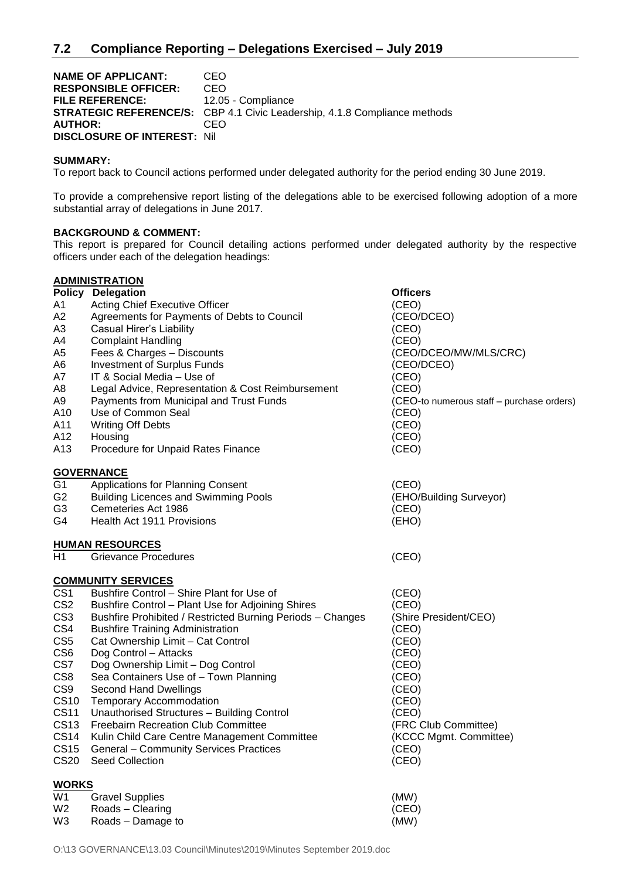### **NAME OF APPLICANT: CEO<br>RESPONSIBLE OFFICER: CEO RESPONSIBLE OFFICER: FILE REFERENCE:** 12.05 - Compliance **STRATEGIC REFERENCE/S:** CBP 4.1 Civic Leadership, 4.1.8 Compliance methods **AUTHOR:** CEO **DISCLOSURE OF INTEREST:** Nil

### **SUMMARY:**

To report back to Council actions performed under delegated authority for the period ending 30 June 2019.

To provide a comprehensive report listing of the delegations able to be exercised following adoption of a more substantial array of delegations in June 2017.

## **BACKGROUND & COMMENT:**

This report is prepared for Council detailing actions performed under delegated authority by the respective officers under each of the delegation headings:

# **ADMINISTRATION**

|                 | <b>Policy Delegation</b>                                   | <b>Officers</b>                           |
|-----------------|------------------------------------------------------------|-------------------------------------------|
| A1              | <b>Acting Chief Executive Officer</b>                      | (CEO)                                     |
| A2              | Agreements for Payments of Debts to Council                | (CEO/DCEO)                                |
| A3              | Casual Hirer's Liability                                   | (CEO)                                     |
| A4              | <b>Complaint Handling</b>                                  | (CEO)                                     |
| A5              | Fees & Charges - Discounts                                 | (CEO/DCEO/MW/MLS/CRC)                     |
| A6              | <b>Investment of Surplus Funds</b>                         | (CEO/DCEO)                                |
| A7              | IT & Social Media – Use of                                 | (CEO)                                     |
| A8              | Legal Advice, Representation & Cost Reimbursement          | (CEO)                                     |
| A9              | Payments from Municipal and Trust Funds                    | (CEO-to numerous staff - purchase orders) |
| A10             | Use of Common Seal                                         | (CEO)                                     |
| A11             | <b>Writing Off Debts</b>                                   | (CEO)                                     |
| A12             | Housing                                                    | (CEO)                                     |
| A13             | Procedure for Unpaid Rates Finance                         | (CEO)                                     |
|                 | <b>GOVERNANCE</b>                                          |                                           |
| G <sub>1</sub>  | Applications for Planning Consent                          | (CEO)                                     |
| G <sub>2</sub>  | <b>Building Licences and Swimming Pools</b>                | (EHO/Building Surveyor)                   |
| G <sub>3</sub>  | Cemeteries Act 1986                                        | (CEO)                                     |
| G4              | Health Act 1911 Provisions                                 | (EHO)                                     |
|                 | <b>HUMAN RESOURCES</b>                                     |                                           |
| Η1              | Grievance Procedures                                       | (CEO)                                     |
|                 | <b>COMMUNITY SERVICES</b>                                  |                                           |
| CS <sub>1</sub> | Bushfire Control - Shire Plant for Use of                  | (CEO)                                     |
| CS <sub>2</sub> | Bushfire Control - Plant Use for Adjoining Shires          | (CEO)                                     |
| CS <sub>3</sub> | Bushfire Prohibited / Restricted Burning Periods - Changes | (Shire President/CEO)                     |
| CS4             | <b>Bushfire Training Administration</b>                    | (CEO)                                     |
| CS <sub>5</sub> | Cat Ownership Limit - Cat Control                          | (CEO)                                     |
| CS <sub>6</sub> | Dog Control - Attacks                                      | (CEO)                                     |
| CS7             | Dog Ownership Limit - Dog Control                          | (CEO)                                     |
| CS <sub>8</sub> | Sea Containers Use of - Town Planning                      | (CEO)                                     |
| CS <sub>9</sub> | <b>Second Hand Dwellings</b>                               | (CEO)                                     |
| <b>CS10</b>     | <b>Temporary Accommodation</b>                             | (CEO)                                     |
| <b>CS11</b>     | Unauthorised Structures - Building Control                 | (CEO)                                     |
| <b>CS13</b>     | Freebairn Recreation Club Committee                        | (FRC Club Committee)                      |
| <b>CS14</b>     | Kulin Child Care Centre Management Committee               | (KCCC Mgmt. Committee)                    |
| <b>CS15</b>     | <b>General - Community Services Practices</b>              | (CEO)                                     |
| <b>CS20</b>     | <b>Seed Collection</b>                                     | (CEO)                                     |
| <b>WORKS</b>    |                                                            |                                           |
| W1              | <b>Gravel Supplies</b>                                     | (MW)                                      |
| W <sub>2</sub>  | Roads - Clearing                                           | (CEO)                                     |
| WЗ              | Roads – Damage to                                          | (MW)                                      |

O:\13 GOVERNANCE\13.03 Council\Minutes\2019\Minutes September 2019.doc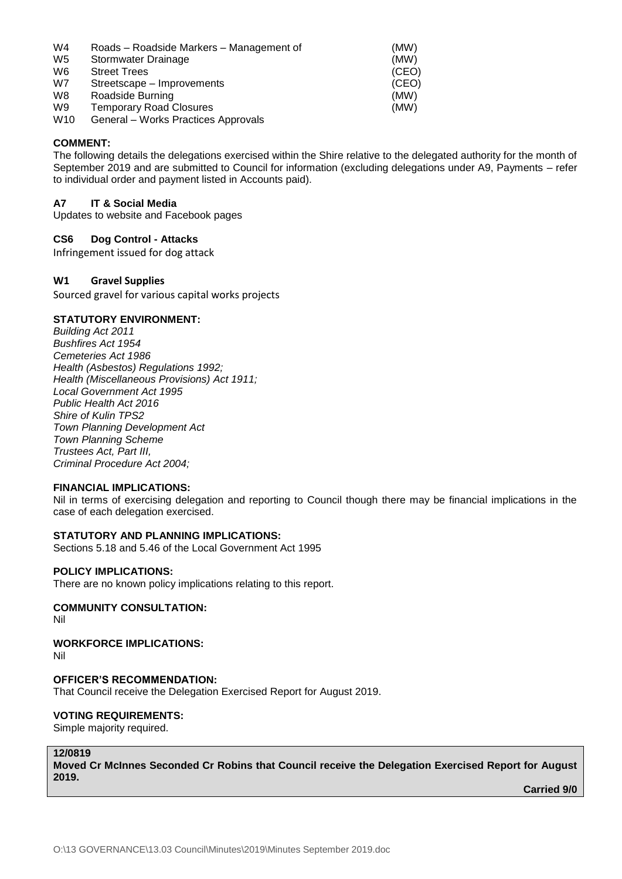| W4              | Roads - Roadside Markers - Management of | (MW)  |
|-----------------|------------------------------------------|-------|
| W5              | Stormwater Drainage                      | (MW)  |
| W6              | <b>Street Trees</b>                      | (CEO) |
| W7              | Streetscape – Improvements               | (CEO) |
| W8              | Roadside Burning                         | (MW)  |
| W9              | <b>Temporary Road Closures</b>           | (MW)  |
| W <sub>10</sub> | General - Works Practices Approvals      |       |

### **COMMENT:**

The following details the delegations exercised within the Shire relative to the delegated authority for the month of September 2019 and are submitted to Council for information (excluding delegations under A9, Payments – refer to individual order and payment listed in Accounts paid).

### **A7 IT & Social Media**

Updates to website and Facebook pages

## **CS6 Dog Control - Attacks**

Infringement issued for dog attack

### **W1 Gravel Supplies**

Sourced gravel for various capital works projects

## **STATUTORY ENVIRONMENT:**

*Building Act 2011 Bushfires Act 1954 Cemeteries Act 1986 Health (Asbestos) Regulations 1992; Health (Miscellaneous Provisions) Act 1911; Local Government Act 1995 Public Health Act 2016 Shire of Kulin TPS2 Town Planning Development Act Town Planning Scheme Trustees Act, Part III, Criminal Procedure Act 2004;*

### **FINANCIAL IMPLICATIONS:**

Nil in terms of exercising delegation and reporting to Council though there may be financial implications in the case of each delegation exercised.

### **STATUTORY AND PLANNING IMPLICATIONS:**

Sections 5.18 and 5.46 of the Local Government Act 1995

### **POLICY IMPLICATIONS:**

There are no known policy implications relating to this report.

# **COMMUNITY CONSULTATION:**

Nil

**WORKFORCE IMPLICATIONS:**

Nil

# **OFFICER'S RECOMMENDATION:**

That Council receive the Delegation Exercised Report for August 2019.

# **VOTING REQUIREMENTS:**

Simple majority required.

# **12/0819**

**Moved Cr McInnes Seconded Cr Robins that Council receive the Delegation Exercised Report for August 2019.**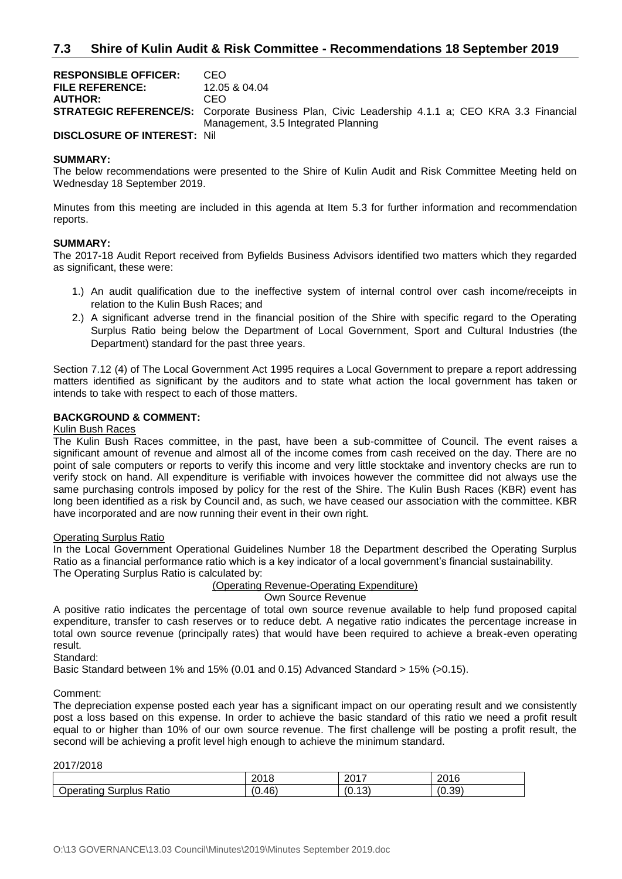| <b>FILE REFERENCE:</b><br>12.05 & 04.04                                                                |  |
|--------------------------------------------------------------------------------------------------------|--|
| <b>AUTHOR:</b><br>CEO                                                                                  |  |
| <b>STRATEGIC REFERENCE/S:</b> Corporate Business Plan, Civic Leadership 4.1.1 a; CEO KRA 3.3 Financial |  |
| Management, 3.5 Integrated Planning                                                                    |  |

#### **DISCLOSURE OF INTEREST:** Nil

### **SUMMARY:**

The below recommendations were presented to the Shire of Kulin Audit and Risk Committee Meeting held on Wednesday 18 September 2019.

Minutes from this meeting are included in this agenda at Item 5.3 for further information and recommendation reports.

#### **SUMMARY:**

The 2017-18 Audit Report received from Byfields Business Advisors identified two matters which they regarded as significant, these were:

- 1.) An audit qualification due to the ineffective system of internal control over cash income/receipts in relation to the Kulin Bush Races; and
- 2.) A significant adverse trend in the financial position of the Shire with specific regard to the Operating Surplus Ratio being below the Department of Local Government, Sport and Cultural Industries (the Department) standard for the past three years.

Section 7.12 (4) of The Local Government Act 1995 requires a Local Government to prepare a report addressing matters identified as significant by the auditors and to state what action the local government has taken or intends to take with respect to each of those matters.

# **BACKGROUND & COMMENT:**

### Kulin Bush Races

The Kulin Bush Races committee, in the past, have been a sub-committee of Council. The event raises a significant amount of revenue and almost all of the income comes from cash received on the day. There are no point of sale computers or reports to verify this income and very little stocktake and inventory checks are run to verify stock on hand. All expenditure is verifiable with invoices however the committee did not always use the same purchasing controls imposed by policy for the rest of the Shire. The Kulin Bush Races (KBR) event has long been identified as a risk by Council and, as such, we have ceased our association with the committee. KBR have incorporated and are now running their event in their own right.

### Operating Surplus Ratio

In the Local Government Operational Guidelines Number 18 the Department described the Operating Surplus Ratio as a financial performance ratio which is a key indicator of a local government's financial sustainability. The Operating Surplus Ratio is calculated by:

# (Operating Revenue-Operating Expenditure)

# Own Source Revenue

A positive ratio indicates the percentage of total own source revenue available to help fund proposed capital expenditure, transfer to cash reserves or to reduce debt. A negative ratio indicates the percentage increase in total own source revenue (principally rates) that would have been required to achieve a break-even operating result.

Standard:

Basic Standard between 1% and 15% (0.01 and 0.15) Advanced Standard > 15% (>0.15).

### Comment:

The depreciation expense posted each year has a significant impact on our operating result and we consistently post a loss based on this expense. In order to achieve the basic standard of this ratio we need a profit result equal to or higher than 10% of our own source revenue. The first challenge will be posting a profit result, the second will be achieving a profit level high enough to achieve the minimum standard.

2017/2018

| --------                              |                            |                                    |                       |
|---------------------------------------|----------------------------|------------------------------------|-----------------------|
|                                       | <b>COM</b><br>20 I O       | 2017<br>∠∪                         | <u>__</u><br>16<br>∠∪ |
| Ratio<br>Surplus<br>)ners<br>perating | $\Delta$ F<br>'n<br>'∪.40. | $\sqrt{2}$<br>$\sim$<br>v.<br>. ن. | ం.<br>v.v.            |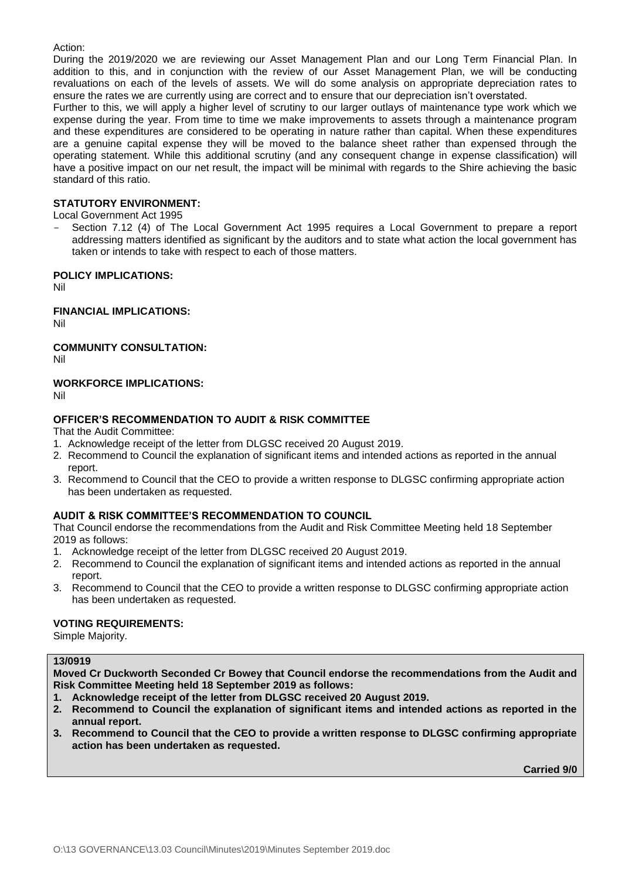### Action:

During the 2019/2020 we are reviewing our Asset Management Plan and our Long Term Financial Plan. In addition to this, and in conjunction with the review of our Asset Management Plan, we will be conducting revaluations on each of the levels of assets. We will do some analysis on appropriate depreciation rates to ensure the rates we are currently using are correct and to ensure that our depreciation isn't overstated.

Further to this, we will apply a higher level of scrutiny to our larger outlays of maintenance type work which we expense during the year. From time to time we make improvements to assets through a maintenance program and these expenditures are considered to be operating in nature rather than capital. When these expenditures are a genuine capital expense they will be moved to the balance sheet rather than expensed through the operating statement. While this additional scrutiny (and any consequent change in expense classification) will have a positive impact on our net result, the impact will be minimal with regards to the Shire achieving the basic standard of this ratio.

# **STATUTORY ENVIRONMENT:**

# Local Government Act 1995

Section 7.12 (4) of The Local Government Act 1995 requires a Local Government to prepare a report addressing matters identified as significant by the auditors and to state what action the local government has taken or intends to take with respect to each of those matters.

## **POLICY IMPLICATIONS:**

Nil

# **FINANCIAL IMPLICATIONS:**

Nil

# **COMMUNITY CONSULTATION:**

Nil

# **WORKFORCE IMPLICATIONS:**

Nil

# **OFFICER'S RECOMMENDATION TO AUDIT & RISK COMMITTEE**

That the Audit Committee:

- 1. Acknowledge receipt of the letter from DLGSC received 20 August 2019.
- 2. Recommend to Council the explanation of significant items and intended actions as reported in the annual report.
- 3. Recommend to Council that the CEO to provide a written response to DLGSC confirming appropriate action has been undertaken as requested.

# **AUDIT & RISK COMMITTEE'S RECOMMENDATION TO COUNCIL**

That Council endorse the recommendations from the Audit and Risk Committee Meeting held 18 September 2019 as follows:

- 1. Acknowledge receipt of the letter from DLGSC received 20 August 2019.
- 2. Recommend to Council the explanation of significant items and intended actions as reported in the annual report.
- 3. Recommend to Council that the CEO to provide a written response to DLGSC confirming appropriate action has been undertaken as requested.

# **VOTING REQUIREMENTS:**

Simple Majority.

# **13/0919**

**Moved Cr Duckworth Seconded Cr Bowey that Council endorse the recommendations from the Audit and Risk Committee Meeting held 18 September 2019 as follows:**

- **1. Acknowledge receipt of the letter from DLGSC received 20 August 2019.**
- **2. Recommend to Council the explanation of significant items and intended actions as reported in the annual report.**
- **3. Recommend to Council that the CEO to provide a written response to DLGSC confirming appropriate action has been undertaken as requested.**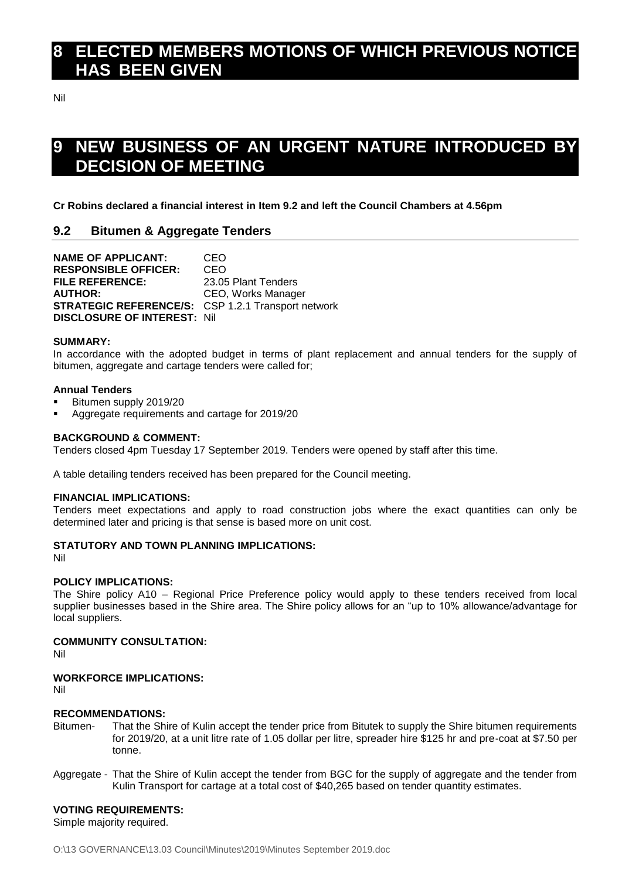# **8 ELECTED MEMBERS MOTIONS OF WHICH PREVIOUS NOTICE HAS BEEN GIVEN**

Nil

# **NEW BUSINESS OF AN URGENT NATURE INTRODUCED BY DECISION OF MEETING**

**Cr Robins declared a financial interest in Item 9.2 and left the Council Chambers at 4.56pm**

# **9.2 Bitumen & Aggregate Tenders**

**NAME OF APPLICANT:** CEO **RESPONSIBLE OFFICER:** CEO **FILE REFERENCE:** 23.05 Plant Tenders **AUTHOR:** CEO, Works Manager **STRATEGIC REFERENCE/S:** CSP 1.2.1 Transport network **DISCLOSURE OF INTEREST:** Nil

### **SUMMARY:**

In accordance with the adopted budget in terms of plant replacement and annual tenders for the supply of bitumen, aggregate and cartage tenders were called for:

## **Annual Tenders**

- Bitumen supply 2019/20
- Aggregate requirements and cartage for 2019/20

# **BACKGROUND & COMMENT:**

Tenders closed 4pm Tuesday 17 September 2019. Tenders were opened by staff after this time.

A table detailing tenders received has been prepared for the Council meeting.

# **FINANCIAL IMPLICATIONS:**

Tenders meet expectations and apply to road construction jobs where the exact quantities can only be determined later and pricing is that sense is based more on unit cost.

# **STATUTORY AND TOWN PLANNING IMPLICATIONS:**

Nil

# **POLICY IMPLICATIONS:**

The Shire policy A10 – Regional Price Preference policy would apply to these tenders received from local supplier businesses based in the Shire area. The Shire policy allows for an "up to 10% allowance/advantage for local suppliers.

### **COMMUNITY CONSULTATION:**

Nil

# **WORKFORCE IMPLICATIONS:**

Nil

# **RECOMMENDATIONS:**

- Bitumen- That the Shire of Kulin accept the tender price from Bitutek to supply the Shire bitumen requirements for 2019/20, at a unit litre rate of 1.05 dollar per litre, spreader hire \$125 hr and pre-coat at \$7.50 per tonne.
- Aggregate That the Shire of Kulin accept the tender from BGC for the supply of aggregate and the tender from Kulin Transport for cartage at a total cost of \$40,265 based on tender quantity estimates.

# **VOTING REQUIREMENTS:**

Simple majority required.